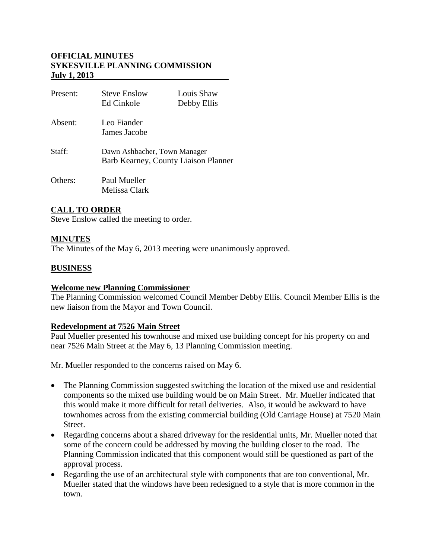# **OFFICIAL MINUTES SYKESVILLE PLANNING COMMISSION July 1, 2013**

| Present: | <b>Steve Enslow</b><br>Ed Cinkole                                    | Louis Shaw<br>Debby Ellis |
|----------|----------------------------------------------------------------------|---------------------------|
| Absent:  | Leo Fiander<br>James Jacobe                                          |                           |
| Staff:   | Dawn Ashbacher, Town Manager<br>Barb Kearney, County Liaison Planner |                           |
| Others:  | Paul Mueller<br>Melissa Clark                                        |                           |

# **CALL TO ORDER**

Steve Enslow called the meeting to order.

### **MINUTES**

The Minutes of the May 6, 2013 meeting were unanimously approved.

### **BUSINESS**

### **Welcome new Planning Commissioner**

The Planning Commission welcomed Council Member Debby Ellis. Council Member Ellis is the new liaison from the Mayor and Town Council.

### **Redevelopment at 7526 Main Street**

Paul Mueller presented his townhouse and mixed use building concept for his property on and near 7526 Main Street at the May 6, 13 Planning Commission meeting.

Mr. Mueller responded to the concerns raised on May 6.

- The Planning Commission suggested switching the location of the mixed use and residential components so the mixed use building would be on Main Street. Mr. Mueller indicated that this would make it more difficult for retail deliveries. Also, it would be awkward to have townhomes across from the existing commercial building (Old Carriage House) at 7520 Main Street.
- Regarding concerns about a shared driveway for the residential units, Mr. Mueller noted that some of the concern could be addressed by moving the building closer to the road. The Planning Commission indicated that this component would still be questioned as part of the approval process.
- Regarding the use of an architectural style with components that are too conventional, Mr. Mueller stated that the windows have been redesigned to a style that is more common in the town.